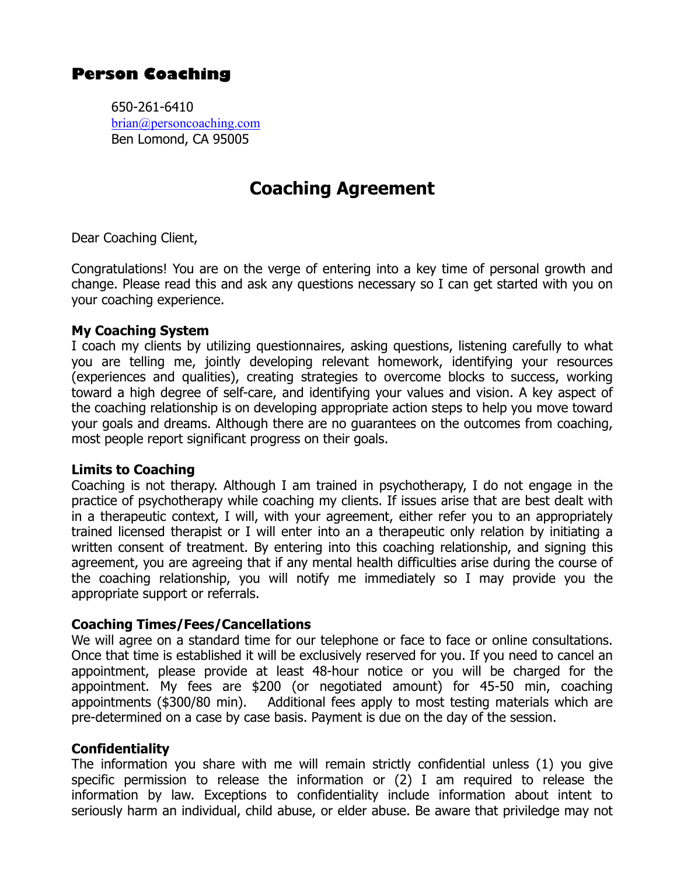# **Person Coaching**

650-261-6410 [brian@personcoaching.com](mailto:brian@personcoaching.com) Ben Lomond, CA 95005

# **Coaching Agreement**

Dear Coaching Client,

Congratulations! You are on the verge of entering into a key time of personal growth and change. Please read this and ask any questions necessary so I can get started with you on your coaching experience.

#### **My Coaching System**

I coach my clients by utilizing questionnaires, asking questions, listening carefully to what you are telling me, jointly developing relevant homework, identifying your resources (experiences and qualities), creating strategies to overcome blocks to success, working toward a high degree of self-care, and identifying your values and vision. A key aspect of the coaching relationship is on developing appropriate action steps to help you move toward your goals and dreams. Although there are no guarantees on the outcomes from coaching, most people report significant progress on their goals.

#### **Limits to Coaching**

Coaching is not therapy. Although I am trained in psychotherapy, I do not engage in the practice of psychotherapy while coaching my clients. If issues arise that are best dealt with in a therapeutic context, I will, with your agreement, either refer you to an appropriately trained licensed therapist or I will enter into an a therapeutic only relation by initiating a written consent of treatment. By entering into this coaching relationship, and signing this agreement, you are agreeing that if any mental health difficulties arise during the course of the coaching relationship, you will notify me immediately so I may provide you the appropriate support or referrals.

#### **Coaching Times/Fees/Cancellations**

We will agree on a standard time for our telephone or face to face or online consultations. Once that time is established it will be exclusively reserved for you. If you need to cancel an appointment, please provide at least 48-hour notice or you will be charged for the appointment. My fees are \$200 (or negotiated amount) for 45-50 min, coaching appointments (\$300/80 min). Additional fees apply to most testing materials which are pre-determined on a case by case basis. Payment is due on the day of the session.

#### **Confidentiality**

The information you share with me will remain strictly confidential unless (1) you give specific permission to release the information or (2) I am required to release the information by law. Exceptions to confidentiality include information about intent to seriously harm an individual, child abuse, or elder abuse. Be aware that priviledge may not